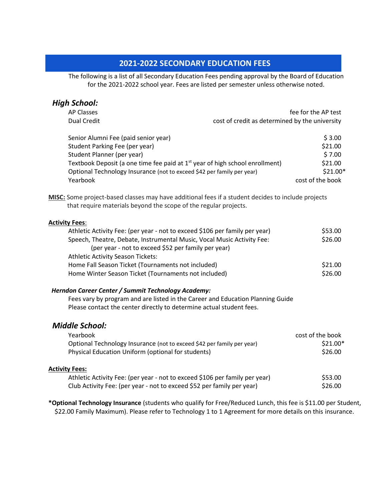# **2021-2022 SECONDARY EDUCATION FEES**

The following is a list of all Secondary Education Fees pending approval by the Board of Education for the 2021-2022 school year. Fees are listed per semester unless otherwise noted.

| <b>High School:</b>                                                                                                                                                           |                                                |                  |  |
|-------------------------------------------------------------------------------------------------------------------------------------------------------------------------------|------------------------------------------------|------------------|--|
| AP Classes                                                                                                                                                                    | fee for the AP test                            |                  |  |
| Dual Credit                                                                                                                                                                   | cost of credit as determined by the university |                  |  |
| Senior Alumni Fee (paid senior year)                                                                                                                                          |                                                | \$3.00           |  |
| Student Parking Fee (per year)                                                                                                                                                |                                                | \$21.00          |  |
| Student Planner (per year)                                                                                                                                                    |                                                | \$7.00           |  |
| Textbook Deposit (a one time fee paid at $1st$ year of high school enrollment)                                                                                                |                                                | \$21.00          |  |
| Optional Technology Insurance (not to exceed \$42 per family per year)                                                                                                        |                                                | $$21.00*$        |  |
| Yearbook                                                                                                                                                                      |                                                | cost of the book |  |
| <b>MISC:</b> Some project-based classes may have additional fees if a student decides to include projects<br>that require materials beyond the scope of the regular projects. |                                                |                  |  |
| <b>Activity Fees:</b>                                                                                                                                                         |                                                |                  |  |
| Athletic Activity Fee: (per year - not to exceed \$106 per family per year)                                                                                                   |                                                | \$53.00          |  |
| Speech, Theatre, Debate, Instrumental Music, Vocal Music Activity Fee:<br>(per year - not to exceed \$52 per family per year)                                                 |                                                | \$26.00          |  |
| <b>Athletic Activity Season Tickets:</b>                                                                                                                                      |                                                |                  |  |
| Home Fall Season Ticket (Tournaments not included)                                                                                                                            |                                                | \$21.00          |  |
| Home Winter Season Ticket (Tournaments not included)                                                                                                                          |                                                | \$26.00          |  |

### *Herndon Career Center / Summit Technology Academy:*

Fees vary by program and are listed in the Career and Education Planning Guide Please contact the center directly to determine actual student fees.

## *Middle School:*

| Yearbook                                                                    | cost of the book |
|-----------------------------------------------------------------------------|------------------|
| Optional Technology Insurance (not to exceed \$42 per family per year)      | $$21.00*$        |
| Physical Education Uniform (optional for students)                          | \$26.00          |
| <b>Activity Fees:</b>                                                       |                  |
| Athletic Activity Fee: (per year - not to exceed \$106 per family per year) | \$53.00          |
| Club Activity Fee: (per year - not to exceed \$52 per family per year)      | \$26.00          |

**\*Optional Technology Insurance** (students who qualify for Free/Reduced Lunch, this fee is \$11.00 per Student, \$22.00 Family Maximum). Please refer to Technology 1 to 1 Agreement for more details on this insurance.